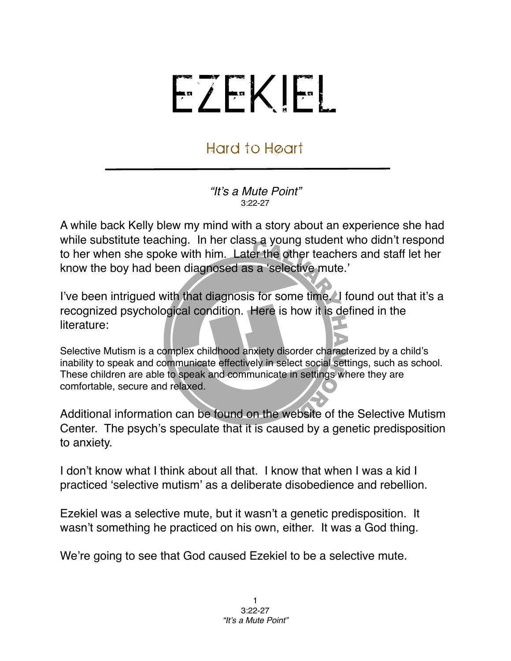## EZEKIEL

## Hard to Heart

*"It*'*s a Mute Point"* 3:22-27

A while back Kelly blew my mind with a story about an experience she had while substitute teaching. In her class a young student who didn't respond to her when she spoke with him. Later the other teachers and staff let her know the boy had been diagnosed as a ʻselective mute.'

I've been intrigued with that diagnosis for some time. I found out that it's a recognized psychological condition. Here is how it is defined in the literature:

Selective Mutism is a complex childhood anxiety disorder characterized by a child's inability to speak and communicate effectively in select social settings, such as school. These children are able to speak and communicate in settings where they are comfortable, secure and relaxed.

Additional information can be found on the website of the Selective Mutism Center. The psych's speculate that it is caused by a genetic predisposition to anxiety.

I don't know what I think about all that. I know that when I was a kid I practiced ʻselective mutism' as a deliberate disobedience and rebellion.

Ezekiel was a selective mute, but it wasn't a genetic predisposition. It wasn't something he practiced on his own, either. It was a God thing.

We're going to see that God caused Ezekiel to be a selective mute.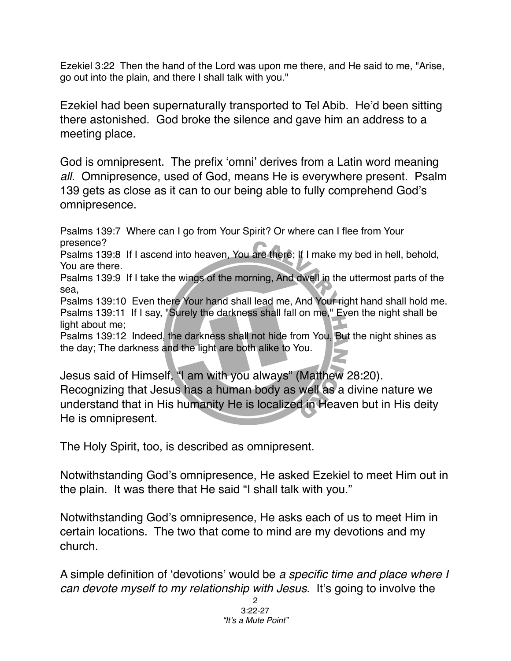Ezekiel 3:22 Then the hand of the Lord was upon me there, and He said to me, "Arise, go out into the plain, and there I shall talk with you."

Ezekiel had been supernaturally transported to Tel Abib. He'd been sitting there astonished. God broke the silence and gave him an address to a meeting place.

God is omnipresent. The prefix ʻomni' derives from a Latin word meaning *all*. Omnipresence, used of God, means He is everywhere present. Psalm 139 gets as close as it can to our being able to fully comprehend God's omnipresence.

Psalms 139:7 Where can I go from Your Spirit? Or where can I flee from Your presence?

Psalms 139:8 If I ascend into heaven, You are there; If I make my bed in hell, behold, You are there.

Psalms 139:9 If I take the wings of the morning, And dwell in the uttermost parts of the sea,

Psalms 139:10 Even there Your hand shall lead me, And Your right hand shall hold me. Psalms 139:11 If I say, "Surely the darkness shall fall on me," Even the night shall be light about me;

Psalms 139:12 Indeed, the darkness shall not hide from You, But the night shines as the day; The darkness and the light are both alike to You.

Jesus said of Himself, "I am with you always" (Matthew 28:20). Recognizing that Jesus has a human body as well as a divine nature we understand that in His humanity He is localized in Heaven but in His deity He is omnipresent.

The Holy Spirit, too, is described as omnipresent.

Notwithstanding God's omnipresence, He asked Ezekiel to meet Him out in the plain. It was there that He said "I shall talk with you."

Notwithstanding God's omnipresence, He asks each of us to meet Him in certain locations. The two that come to mind are my devotions and my church.

A simple definition of ʻdevotions' would be *a specific time and place where I can devote myself to my relationship with Jesus*. It's going to involve the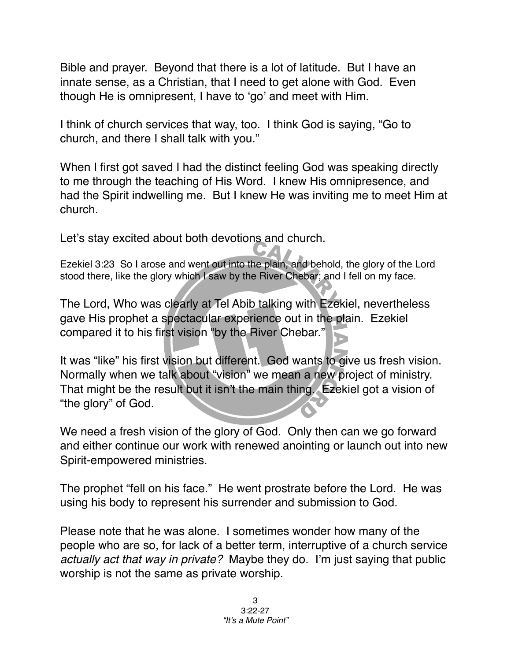Bible and prayer. Beyond that there is a lot of latitude. But I have an innate sense, as a Christian, that I need to get alone with God. Even though He is omnipresent, I have to ʻgo' and meet with Him.

I think of church services that way, too. I think God is saying, "Go to church, and there I shall talk with you."

When I first got saved I had the distinct feeling God was speaking directly to me through the teaching of His Word. I knew His omnipresence, and had the Spirit indwelling me. But I knew He was inviting me to meet Him at church.

Let's stay excited about both devotions and church.

Ezekiel 3:23 So I arose and went out into the plain, and behold, the glory of the Lord stood there, like the glory which I saw by the River Chebar; and I fell on my face.

The Lord, Who was clearly at Tel Abib talking with Ezekiel, nevertheless gave His prophet a spectacular experience out in the plain. Ezekiel compared it to his first vision "by the River Chebar."

It was "like" his first vision but different. God wants to give us fresh vision. Normally when we talk about "vision" we mean a new project of ministry. That might be the result but it isn't the main thing. Ezekiel got a vision of "the glory" of God.

We need a fresh vision of the glory of God. Only then can we go forward and either continue our work with renewed anointing or launch out into new Spirit-empowered ministries.

The prophet "fell on his face." He went prostrate before the Lord. He was using his body to represent his surrender and submission to God.

Please note that he was alone. I sometimes wonder how many of the people who are so, for lack of a better term, interruptive of a church service *actually act that way in private?* Maybe they do. I'm just saying that public worship is not the same as private worship.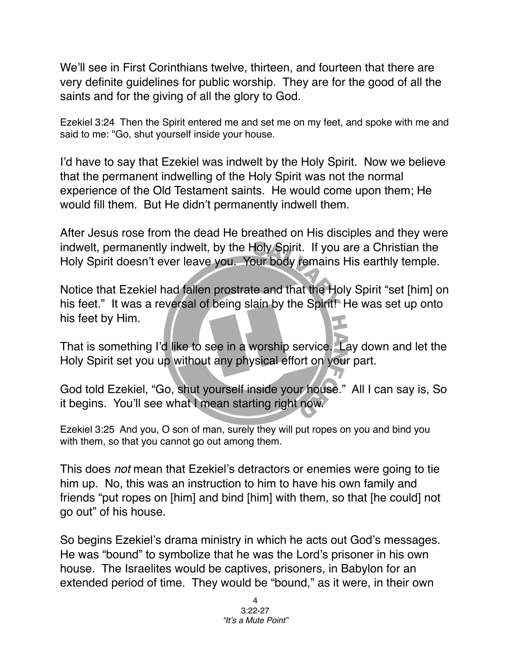We'll see in First Corinthians twelve, thirteen, and fourteen that there are very definite guidelines for public worship. They are for the good of all the saints and for the giving of all the glory to God.

Ezekiel 3:24 Then the Spirit entered me and set me on my feet, and spoke with me and said to me: "Go, shut yourself inside your house.

I'd have to say that Ezekiel was indwelt by the Holy Spirit. Now we believe that the permanent indwelling of the Holy Spirit was not the normal experience of the Old Testament saints. He would come upon them; He would fill them. But He didn't permanently indwell them.

After Jesus rose from the dead He breathed on His disciples and they were indwelt, permanently indwelt, by the Holy Spirit. If you are a Christian the Holy Spirit doesn't ever leave you. Your body remains His earthly temple.

Notice that Ezekiel had fallen prostrate and that the Holy Spirit "set [him] on his feet." It was a reversal of being slain by the Spirit! He was set up onto his feet by Him.

That is something I'd like to see in a worship service. Lay down and let the Holy Spirit set you up without any physical effort on your part.

God told Ezekiel, "Go, shut yourself inside your house." All I can say is, So it begins. You'll see what I mean starting right now.

Ezekiel 3:25 And you, O son of man, surely they will put ropes on you and bind you with them, so that you cannot go out among them.

This does *not* mean that Ezekiel's detractors or enemies were going to tie him up. No, this was an instruction to him to have his own family and friends "put ropes on [him] and bind [him] with them, so that [he could] not go out" of his house.

So begins Ezekiel's drama ministry in which he acts out God's messages. He was "bound" to symbolize that he was the Lord's prisoner in his own house. The Israelites would be captives, prisoners, in Babylon for an extended period of time. They would be "bound," as it were, in their own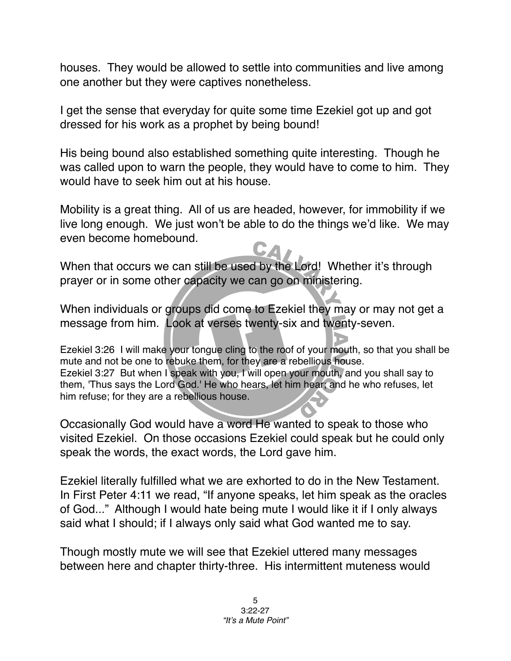houses. They would be allowed to settle into communities and live among one another but they were captives nonetheless.

I get the sense that everyday for quite some time Ezekiel got up and got dressed for his work as a prophet by being bound!

His being bound also established something quite interesting. Though he was called upon to warn the people, they would have to come to him. They would have to seek him out at his house.

Mobility is a great thing. All of us are headed, however, for immobility if we live long enough. We just won't be able to do the things we'd like. We may even become homebound.

When that occurs we can still be used by the Lord! Whether it's through prayer or in some other capacity we can go on ministering.

When individuals or groups did come to Ezekiel they may or may not get a message from him. Look at verses twenty-six and twenty-seven.

Ezekiel 3:26 I will make your tongue cling to the roof of your mouth, so that you shall be mute and not be one to rebuke them, for they are a rebellious house. Ezekiel 3:27 But when I speak with you, I will open your mouth, and you shall say to them, 'Thus says the Lord God.' He who hears, let him hear; and he who refuses, let him refuse; for they are a rebellious house.

Occasionally God would have a word He wanted to speak to those who visited Ezekiel. On those occasions Ezekiel could speak but he could only speak the words, the exact words, the Lord gave him.

Ezekiel literally fulfilled what we are exhorted to do in the New Testament. In First Peter 4:11 we read, "If anyone speaks, let him speak as the oracles of God..." Although I would hate being mute I would like it if I only always said what I should; if I always only said what God wanted me to say.

Though mostly mute we will see that Ezekiel uttered many messages between here and chapter thirty-three. His intermittent muteness would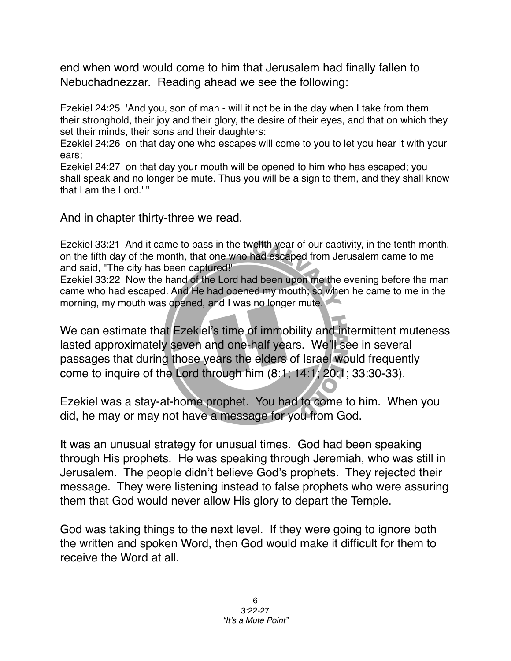end when word would come to him that Jerusalem had finally fallen to Nebuchadnezzar. Reading ahead we see the following:

Ezekiel 24:25 'And you, son of man - will it not be in the day when I take from them their stronghold, their joy and their glory, the desire of their eyes, and that on which they set their minds, their sons and their daughters:

Ezekiel 24:26 on that day one who escapes will come to you to let you hear it with your ears;

Ezekiel 24:27 on that day your mouth will be opened to him who has escaped; you shall speak and no longer be mute. Thus you will be a sign to them, and they shall know that I am the Lord.<sup>'"</sup>

And in chapter thirty-three we read,

Ezekiel 33:21 And it came to pass in the twelfth year of our captivity, in the tenth month, on the fifth day of the month, that one who had escaped from Jerusalem came to me and said, "The city has been captured!"

Ezekiel 33:22 Now the hand of the Lord had been upon me the evening before the man came who had escaped. And He had opened my mouth; so when he came to me in the morning, my mouth was opened, and I was no longer mute.

We can estimate that Ezekiel's time of immobility and intermittent muteness lasted approximately seven and one-half years. We'll see in several passages that during those years the elders of Israel would frequently come to inquire of the Lord through him (8:1; 14:1; 20:1; 33:30-33).

Ezekiel was a stay-at-home prophet. You had to come to him. When you did, he may or may not have a message for you from God.

It was an unusual strategy for unusual times. God had been speaking through His prophets. He was speaking through Jeremiah, who was still in Jerusalem. The people didn't believe God's prophets. They rejected their message. They were listening instead to false prophets who were assuring them that God would never allow His glory to depart the Temple.

God was taking things to the next level. If they were going to ignore both the written and spoken Word, then God would make it difficult for them to receive the Word at all.